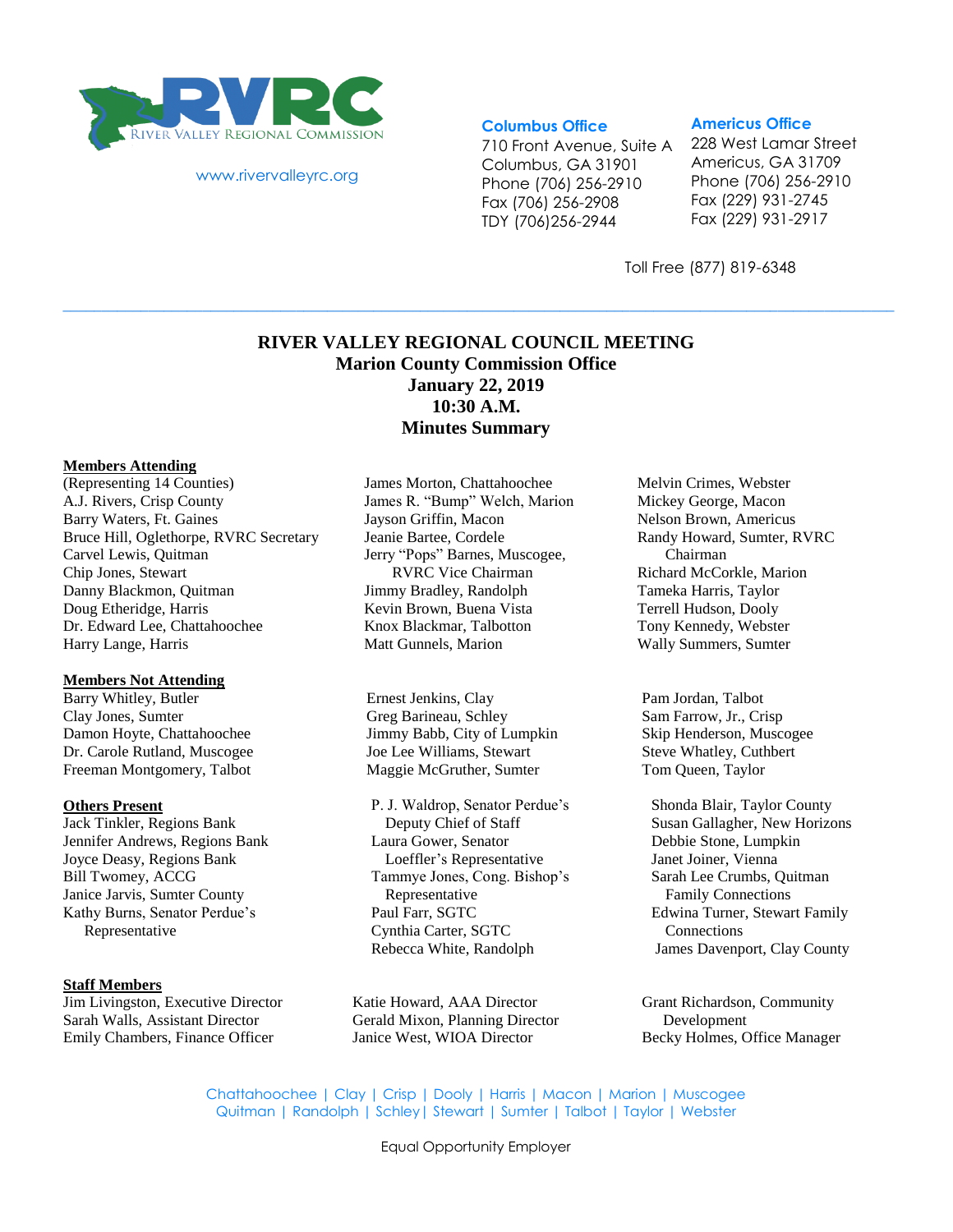

www.rivervalleyrc.org

#### **Columbus Office**

710 Front Avenue, Suite A Columbus, GA 31901 Phone (706) 256-2910 Fax (706) 256-2908 TDY (706)256-2944

#### **Americus Office**

228 West Lamar Street Americus, GA 31709 Phone (706) 256-2910 Fax (229) 931-2745 Fax (229) 931-2917

Toll Free (877) 819-6348

# **RIVER VALLEY REGIONAL COUNCIL MEETING Marion County Commission Office January 22, 2019 10:30 A.M. Minutes Summary**

**\_\_\_\_\_\_\_\_\_\_\_\_\_\_\_\_\_\_\_\_\_\_\_\_\_\_\_\_\_\_\_\_\_\_\_\_\_\_\_\_\_\_\_\_\_\_\_\_\_\_\_\_\_\_\_\_\_\_\_\_\_\_\_\_\_\_\_\_\_\_\_\_\_\_\_\_\_\_\_\_\_\_\_\_\_\_\_\_\_\_\_\_\_\_\_\_\_\_\_\_\_\_\_\_\_\_\_**

#### **Members Attending**

(Representing 14 Counties) A.J. Rivers, Crisp County Barry Waters, Ft. Gaines Bruce Hill, Oglethorpe, RVRC Secretary Carvel Lewis, Quitman Chip Jones, Stewart Danny Blackmon, Quitman Doug Etheridge, Harris Dr. Edward Lee, Chattahoochee Harry Lange, Harris

#### **Members Not Attending**

Barry Whitley, Butler Clay Jones, Sumter Damon Hoyte, Chattahoochee Dr. Carole Rutland, Muscogee Freeman Montgomery, Talbot

#### **Others Present**

Jack Tinkler, Regions Bank Jennifer Andrews, Regions Bank Joyce Deasy, Regions Bank Bill Twomey, ACCG Janice Jarvis, Sumter County Kathy Burns, Senator Perdue's Representative

#### **Staff Members**

Jim Livingston, Executive Director Sarah Walls, Assistant Director Emily Chambers, Finance Officer

James Morton, Chattahoochee James R. "Bump" Welch, Marion Jayson Griffin, Macon Jeanie Bartee, Cordele Jerry "Pops" Barnes, Muscogee, RVRC Vice Chairman Jimmy Bradley, Randolph Kevin Brown, Buena Vista Knox Blackmar, Talbotton Matt Gunnels, Marion

Ernest Jenkins, Clay Greg Barineau, Schley Jimmy Babb, City of Lumpkin Joe Lee Williams, Stewart Maggie McGruther, Sumter

P. J. Waldrop, Senator Perdue's Deputy Chief of Staff Laura Gower, Senator Loeffler's Representative Tammye Jones, Cong. Bishop's Representative Paul Farr, SGTC Cynthia Carter, SGTC Rebecca White, Randolph

Katie Howard, AAA Director Gerald Mixon, Planning Director Janice West, WIOA Director

Melvin Crimes, Webster Mickey George, Macon Nelson Brown, Americus Randy Howard, Sumter, RVRC Chairman Richard McCorkle, Marion Tameka Harris, Taylor Terrell Hudson, Dooly Tony Kennedy, Webster Wally Summers, Sumter

Pam Jordan, Talbot Sam Farrow, Jr., Crisp Skip Henderson, Muscogee Steve Whatley, Cuthbert Tom Queen, Taylor

Shonda Blair, Taylor County Susan Gallagher, New Horizons Debbie Stone, Lumpkin Janet Joiner, Vienna Sarah Lee Crumbs, Quitman Family Connections Edwina Turner, Stewart Family Connections James Davenport, Clay County

Grant Richardson, Community Development Becky Holmes, Office Manager

Chattahoochee | Clay | Crisp | Dooly | Harris | Macon | Marion | Muscogee Quitman | Randolph | Schley| Stewart | Sumter | Talbot | Taylor | Webster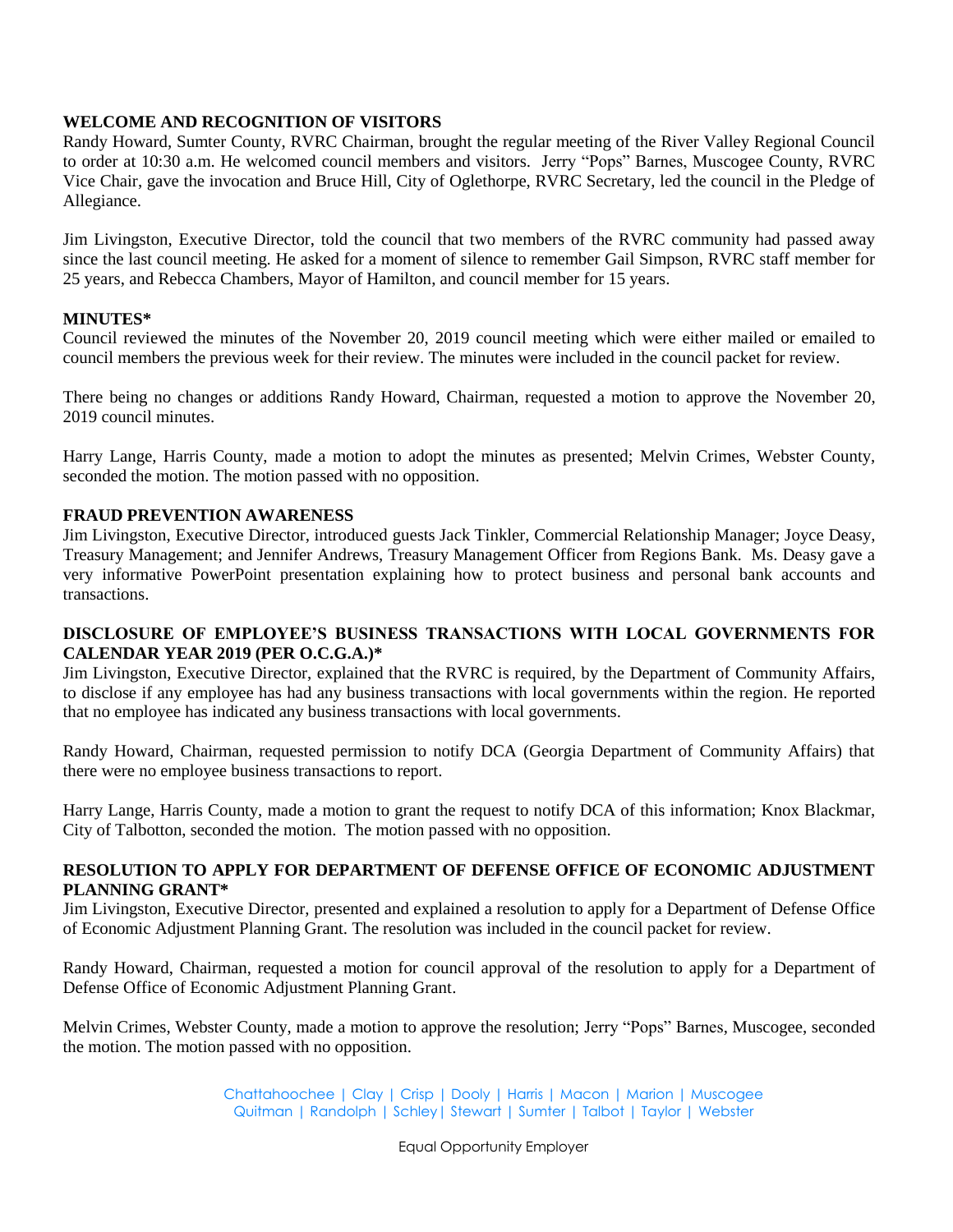## **WELCOME AND RECOGNITION OF VISITORS**

Randy Howard, Sumter County, RVRC Chairman, brought the regular meeting of the River Valley Regional Council to order at 10:30 a.m. He welcomed council members and visitors. Jerry "Pops" Barnes, Muscogee County, RVRC Vice Chair, gave the invocation and Bruce Hill, City of Oglethorpe, RVRC Secretary, led the council in the Pledge of Allegiance.

Jim Livingston, Executive Director, told the council that two members of the RVRC community had passed away since the last council meeting. He asked for a moment of silence to remember Gail Simpson, RVRC staff member for 25 years, and Rebecca Chambers, Mayor of Hamilton, and council member for 15 years.

### **MINUTES\***

Council reviewed the minutes of the November 20, 2019 council meeting which were either mailed or emailed to council members the previous week for their review. The minutes were included in the council packet for review.

There being no changes or additions Randy Howard, Chairman, requested a motion to approve the November 20, 2019 council minutes.

Harry Lange, Harris County, made a motion to adopt the minutes as presented; Melvin Crimes, Webster County, seconded the motion. The motion passed with no opposition.

### **FRAUD PREVENTION AWARENESS**

Jim Livingston, Executive Director, introduced guests Jack Tinkler, Commercial Relationship Manager; Joyce Deasy, Treasury Management; and Jennifer Andrews, Treasury Management Officer from Regions Bank. Ms. Deasy gave a very informative PowerPoint presentation explaining how to protect business and personal bank accounts and transactions.

## **DISCLOSURE OF EMPLOYEE'S BUSINESS TRANSACTIONS WITH LOCAL GOVERNMENTS FOR CALENDAR YEAR 2019 (PER O.C.G.A.)\***

Jim Livingston, Executive Director, explained that the RVRC is required, by the Department of Community Affairs, to disclose if any employee has had any business transactions with local governments within the region. He reported that no employee has indicated any business transactions with local governments.

Randy Howard, Chairman, requested permission to notify DCA (Georgia Department of Community Affairs) that there were no employee business transactions to report.

Harry Lange, Harris County, made a motion to grant the request to notify DCA of this information; Knox Blackmar, City of Talbotton, seconded the motion. The motion passed with no opposition.

### **RESOLUTION TO APPLY FOR DEPARTMENT OF DEFENSE OFFICE OF ECONOMIC ADJUSTMENT PLANNING GRANT\***

Jim Livingston, Executive Director, presented and explained a resolution to apply for a Department of Defense Office of Economic Adjustment Planning Grant. The resolution was included in the council packet for review.

Randy Howard, Chairman, requested a motion for council approval of the resolution to apply for a Department of Defense Office of Economic Adjustment Planning Grant.

Melvin Crimes, Webster County, made a motion to approve the resolution; Jerry "Pops" Barnes, Muscogee, seconded the motion. The motion passed with no opposition.

> Chattahoochee | Clay | Crisp | Dooly | Harris | Macon | Marion | Muscogee Quitman | Randolph | Schley| Stewart | Sumter | Talbot | Taylor | Webster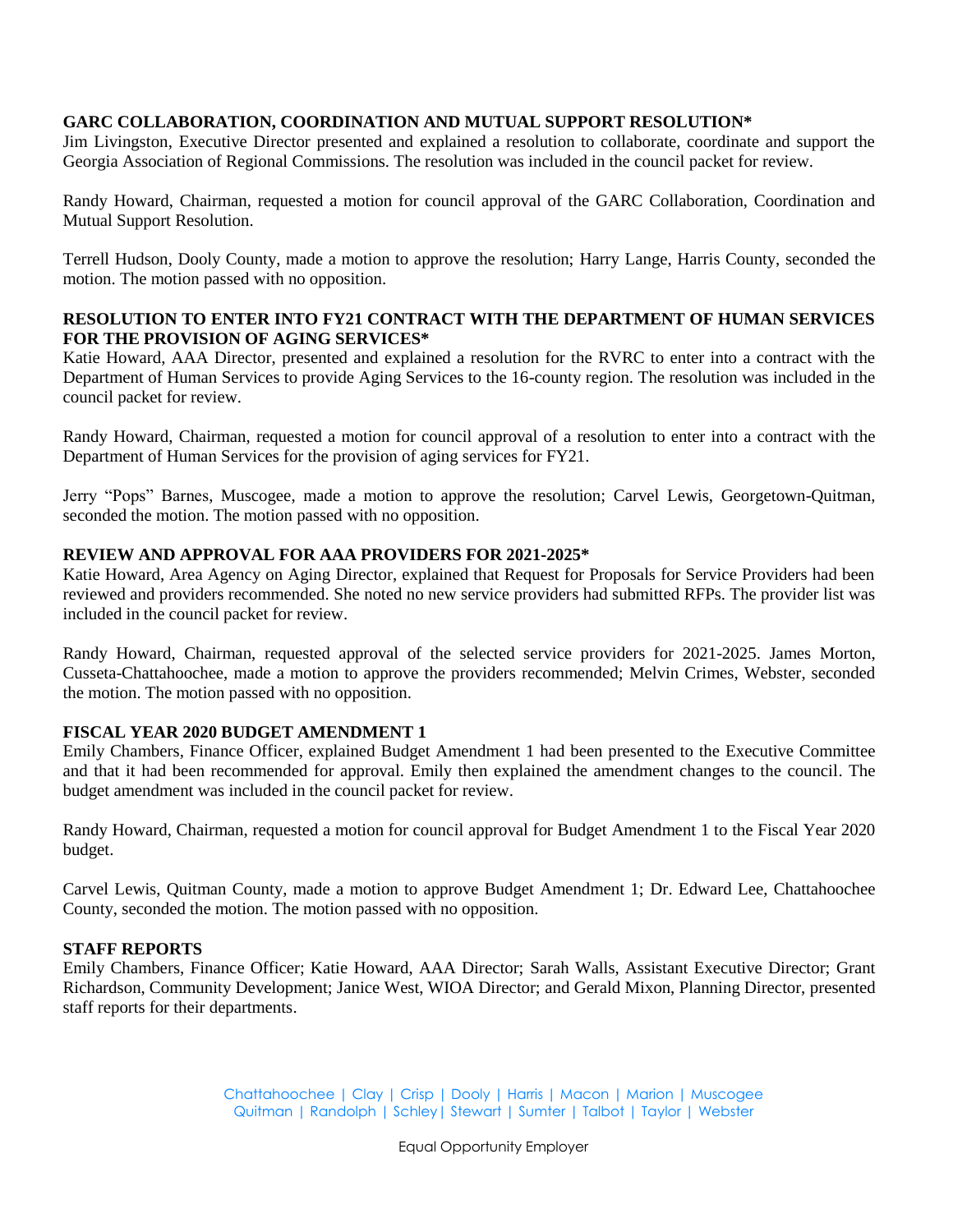## **GARC COLLABORATION, COORDINATION AND MUTUAL SUPPORT RESOLUTION\***

Jim Livingston, Executive Director presented and explained a resolution to collaborate, coordinate and support the Georgia Association of Regional Commissions. The resolution was included in the council packet for review.

Randy Howard, Chairman, requested a motion for council approval of the GARC Collaboration, Coordination and Mutual Support Resolution.

Terrell Hudson, Dooly County, made a motion to approve the resolution; Harry Lange, Harris County, seconded the motion. The motion passed with no opposition.

### **RESOLUTION TO ENTER INTO FY21 CONTRACT WITH THE DEPARTMENT OF HUMAN SERVICES FOR THE PROVISION OF AGING SERVICES\***

Katie Howard, AAA Director, presented and explained a resolution for the RVRC to enter into a contract with the Department of Human Services to provide Aging Services to the 16-county region. The resolution was included in the council packet for review.

Randy Howard, Chairman, requested a motion for council approval of a resolution to enter into a contract with the Department of Human Services for the provision of aging services for FY21.

Jerry "Pops" Barnes, Muscogee, made a motion to approve the resolution; Carvel Lewis, Georgetown-Quitman, seconded the motion. The motion passed with no opposition.

### **REVIEW AND APPROVAL FOR AAA PROVIDERS FOR 2021-2025\***

Katie Howard, Area Agency on Aging Director, explained that Request for Proposals for Service Providers had been reviewed and providers recommended. She noted no new service providers had submitted RFPs. The provider list was included in the council packet for review.

Randy Howard, Chairman, requested approval of the selected service providers for 2021-2025. James Morton, Cusseta-Chattahoochee, made a motion to approve the providers recommended; Melvin Crimes, Webster, seconded the motion. The motion passed with no opposition.

### **FISCAL YEAR 2020 BUDGET AMENDMENT 1**

Emily Chambers, Finance Officer, explained Budget Amendment 1 had been presented to the Executive Committee and that it had been recommended for approval. Emily then explained the amendment changes to the council. The budget amendment was included in the council packet for review.

Randy Howard, Chairman, requested a motion for council approval for Budget Amendment 1 to the Fiscal Year 2020 budget.

Carvel Lewis, Quitman County, made a motion to approve Budget Amendment 1; Dr. Edward Lee, Chattahoochee County, seconded the motion. The motion passed with no opposition.

### **STAFF REPORTS**

Emily Chambers, Finance Officer; Katie Howard, AAA Director; Sarah Walls, Assistant Executive Director; Grant Richardson, Community Development; Janice West, WIOA Director; and Gerald Mixon, Planning Director, presented staff reports for their departments.

> Chattahoochee | Clay | Crisp | Dooly | Harris | Macon | Marion | Muscogee Quitman | Randolph | Schley| Stewart | Sumter | Talbot | Taylor | Webster